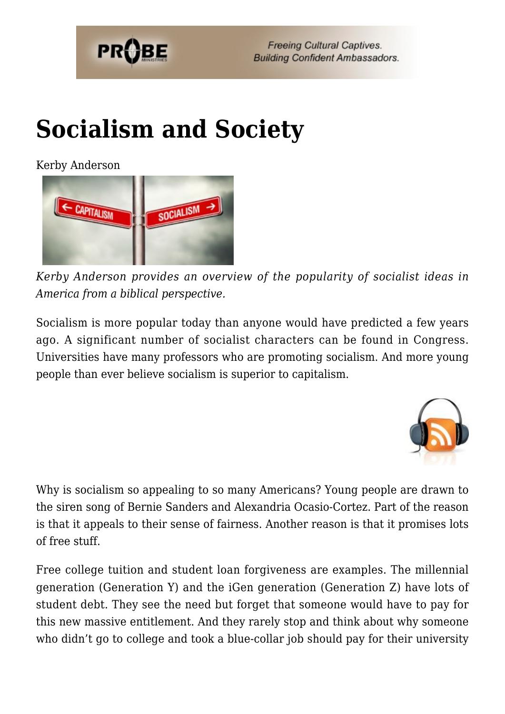

# **[Socialism and Society](https://probe.org/socialism-and-society/)**

Kerby Anderson



*Kerby Anderson provides an overview of the popularity of socialist ideas in America from a biblical perspective.*

Socialism is more popular today than anyone would have predicted a few years ago. A significant number of socialist characters can be found in Congress. Universities have many professors who are promoting socialism. And more young people than ever believe socialism is superior to capitalism.



Why is socialism so appealing to so many Americans? Young people are drawn to the siren song of Bernie Sanders and Alexandria Ocasio-Cortez. Part of the reason is that it appeals to their sense of fairness. Another reason is that it promises lots of free stuff.

Free college tuition and student loan forgiveness are examples. The millennial generation (Generation Y) and the iGen generation (Generation Z) have lots of student debt. They see the need but forget that someone would have to pay for this new massive entitlement. And they rarely stop and think about why someone who didn't go to college and took a blue-collar job should pay for their university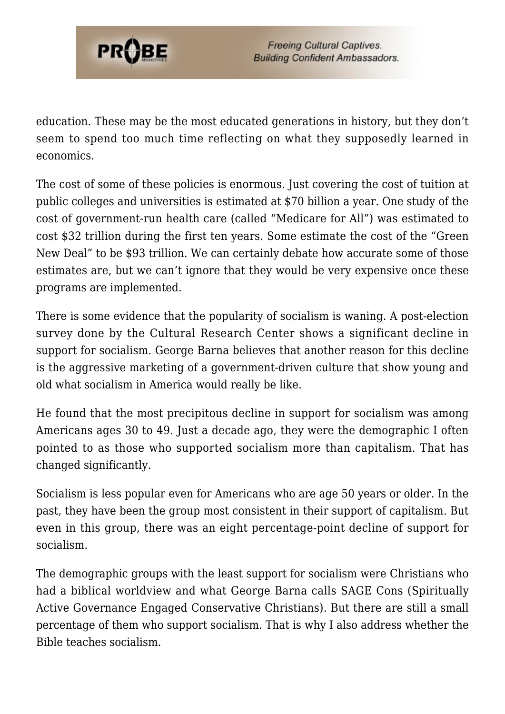

education. These may be the most educated generations in history, but they don't seem to spend too much time reflecting on what they supposedly learned in economics.

The cost of some of these policies is enormous. Just covering the cost of tuition at public colleges and universities is estimated at \$70 billion a year. One study of the cost of government-run health care (called "Medicare for All") was estimated to cost \$32 trillion during the first ten years. Some estimate the cost of the "Green New Deal" to be \$93 trillion. We can certainly debate how accurate some of those estimates are, but we can't ignore that they would be very expensive once these programs are implemented.

There is some evidence that the popularity of socialism is waning. A post-election survey done by the Cultural Research Center shows a significant decline in support for socialism. George Barna believes that another reason for this decline is the aggressive marketing of a government-driven culture that show young and old what socialism in America would really be like.

He found that the most precipitous decline in support for socialism was among Americans ages 30 to 49. Just a decade ago, they were the demographic I often pointed to as those who supported socialism more than capitalism. That has changed significantly.

Socialism is less popular even for Americans who are age 50 years or older. In the past, they have been the group most consistent in their support of capitalism. But even in this group, there was an eight percentage-point decline of support for socialism.

The demographic groups with the least support for socialism were Christians who had a biblical worldview and what George Barna calls SAGE Cons (Spiritually Active Governance Engaged Conservative Christians). But there are still a small percentage of them who support socialism. That is why I also address whether the Bible teaches socialism.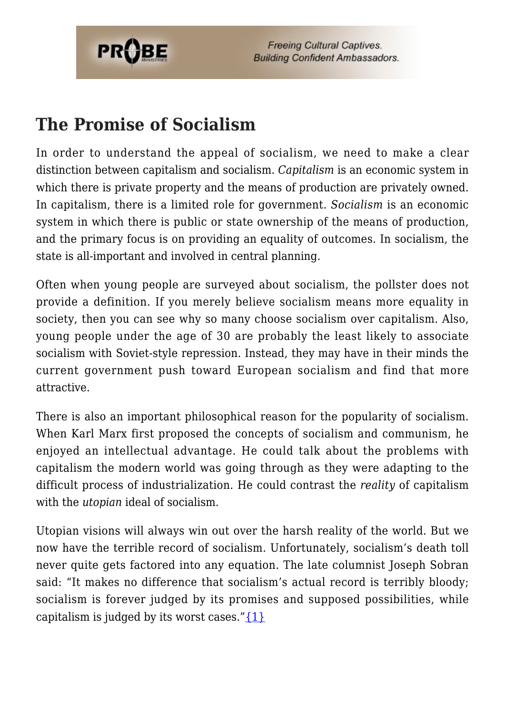

**Freeing Cultural Captives. Building Confident Ambassadors.** 

#### **The Promise of Socialism**

In order to understand the appeal of socialism, we need to make a clear distinction between capitalism and socialism. *Capitalism* is an economic system in which there is private property and the means of production are privately owned. In capitalism, there is a limited role for government. *Socialism* is an economic system in which there is public or state ownership of the means of production, and the primary focus is on providing an equality of outcomes. In socialism, the state is all-important and involved in central planning.

Often when young people are surveyed about socialism, the pollster does not provide a definition. If you merely believe socialism means more equality in society, then you can see why so many choose socialism over capitalism. Also, young people under the age of 30 are probably the least likely to associate socialism with Soviet-style repression. Instead, they may have in their minds the current government push toward European socialism and find that more attractive.

There is also an important philosophical reason for the popularity of socialism. When Karl Marx first proposed the concepts of socialism and communism, he enjoyed an intellectual advantage. He could talk about the problems with capitalism the modern world was going through as they were adapting to the difficult process of industrialization. He could contrast the *reality* of capitalism with the *utopian* ideal of socialism.

Utopian visions will always win out over the harsh reality of the world. But we now have the terrible record of socialism. Unfortunately, socialism's death toll never quite gets factored into any equation. The late columnist Joseph Sobran said: "It makes no difference that socialism's actual record is terribly bloody; socialism is forever judged by its promises and supposed possibilities, while capitalism is judged by its worst cases." $\{1\}$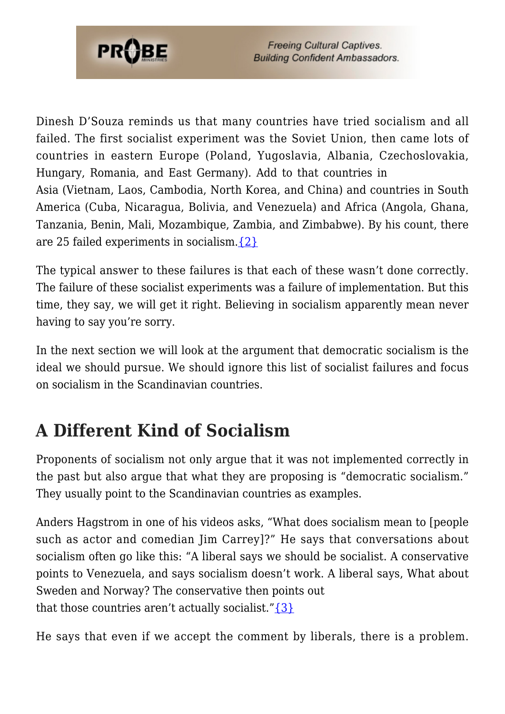

Dinesh D'Souza reminds us that many countries have tried socialism and all failed. The first socialist experiment was the Soviet Union, then came lots of countries in eastern Europe (Poland, Yugoslavia, Albania, Czechoslovakia, Hungary, Romania, and East Germany). Add to that countries in Asia (Vietnam, Laos, Cambodia, North Korea, and China) and countries in South America (Cuba, Nicaragua, Bolivia, and Venezuela) and Africa (Angola, Ghana, Tanzania, Benin, Mali, Mozambique, Zambia, and Zimbabwe). By his count, there are 25 failed experiments in socialism. $\{2\}$ 

The typical answer to these failures is that each of these wasn't done correctly. The failure of these socialist experiments was a failure of implementation. But this time, they say, we will get it right. Believing in socialism apparently mean never having to say you're sorry.

In the next section we will look at the argument that democratic socialism is the ideal we should pursue. We should ignore this list of socialist failures and focus on socialism in the Scandinavian countries.

### **A Different Kind of Socialism**

Proponents of socialism not only argue that it was not implemented correctly in the past but also argue that what they are proposing is "democratic socialism." They usually point to the Scandinavian countries as examples.

Anders Hagstrom in one of his videos asks, "What does socialism mean to [people such as actor and comedian Jim Carrey]?" He says that conversations about socialism often go like this: "A liberal says we should be socialist. A conservative points to Venezuela, and says socialism doesn't work. A liberal says, What about Sweden and Norway? The conservative then points out that those countries aren't actually socialist." $\{3\}$ 

He says that even if we accept the comment by liberals, there is a problem.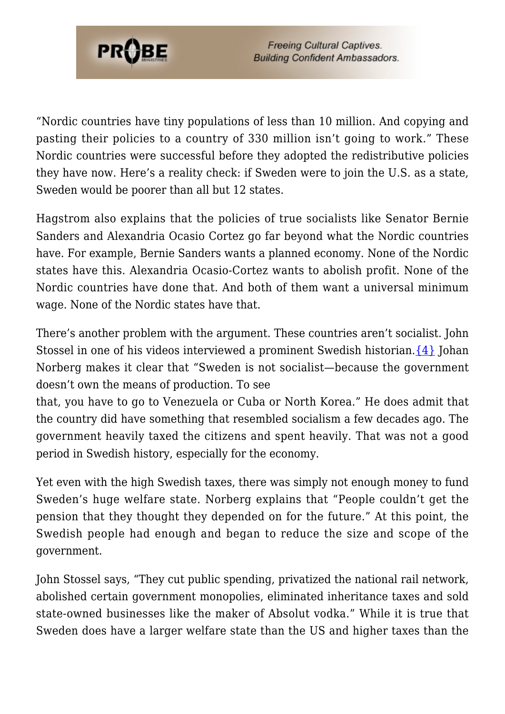

**Freeing Cultural Captives. Building Confident Ambassadors.** 

"Nordic countries have tiny populations of less than 10 million. And copying and pasting their policies to a country of 330 million isn't going to work." These Nordic countries were successful before they adopted the redistributive policies they have now. Here's a reality check: if Sweden were to join the U.S. as a state, Sweden would be poorer than all but 12 states.

Hagstrom also explains that the policies of true socialists like Senator Bernie Sanders and Alexandria Ocasio Cortez go far beyond what the Nordic countries have. For example, Bernie Sanders wants a planned economy. None of the Nordic states have this. Alexandria Ocasio-Cortez wants to abolish profit. None of the Nordic countries have done that. And both of them want a universal minimum wage. None of the Nordic states have that.

There's another problem with the argument. These countries aren't socialist. John Stossel in one of his videos interviewed a prominent Swedish historian. [{4}](#page-8-2) Johan Norberg makes it clear that "Sweden is not socialist—because the government doesn't own the means of production. To see

that, you have to go to Venezuela or Cuba or North Korea." He does admit that the country did have something that resembled socialism a few decades ago. The government heavily taxed the citizens and spent heavily. That was not a good period in Swedish history, especially for the economy.

Yet even with the high Swedish taxes, there was simply not enough money to fund Sweden's huge welfare state. Norberg explains that "People couldn't get the pension that they thought they depended on for the future." At this point, the Swedish people had enough and began to reduce the size and scope of the government.

John Stossel says, "They cut public spending, privatized the national rail network, abolished certain government monopolies, eliminated inheritance taxes and sold state-owned businesses like the maker of Absolut vodka." While it is true that Sweden does have a larger welfare state than the US and higher taxes than the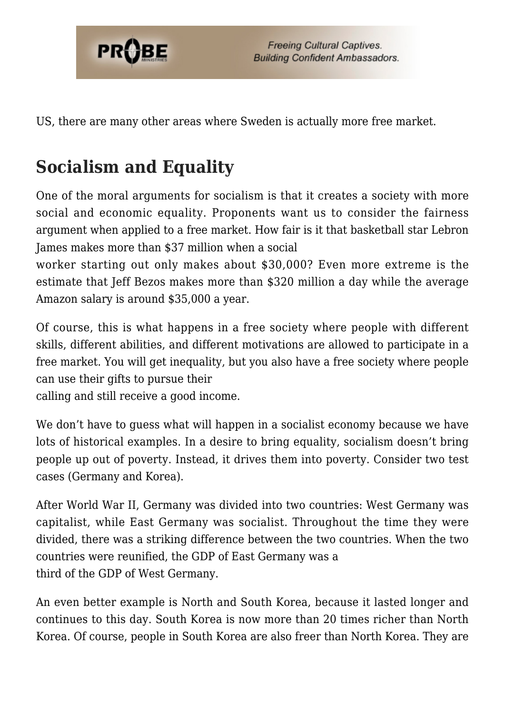

US, there are many other areas where Sweden is actually more free market.

## **Socialism and Equality**

One of the moral arguments for socialism is that it creates a society with more social and economic equality. Proponents want us to consider the fairness argument when applied to a free market. How fair is it that basketball star Lebron James makes more than \$37 million when a social

worker starting out only makes about \$30,000? Even more extreme is the estimate that Jeff Bezos makes more than \$320 million a day while the average Amazon salary is around \$35,000 a year.

Of course, this is what happens in a free society where people with different skills, different abilities, and different motivations are allowed to participate in a free market. You will get inequality, but you also have a free society where people can use their gifts to pursue their

calling and still receive a good income.

We don't have to quess what will happen in a socialist economy because we have lots of historical examples. In a desire to bring equality, socialism doesn't bring people up out of poverty. Instead, it drives them into poverty. Consider two test cases (Germany and Korea).

After World War II, Germany was divided into two countries: West Germany was capitalist, while East Germany was socialist. Throughout the time they were divided, there was a striking difference between the two countries. When the two countries were reunified, the GDP of East Germany was a third of the GDP of West Germany.

An even better example is North and South Korea, because it lasted longer and continues to this day. South Korea is now more than 20 times richer than North Korea. Of course, people in South Korea are also freer than North Korea. They are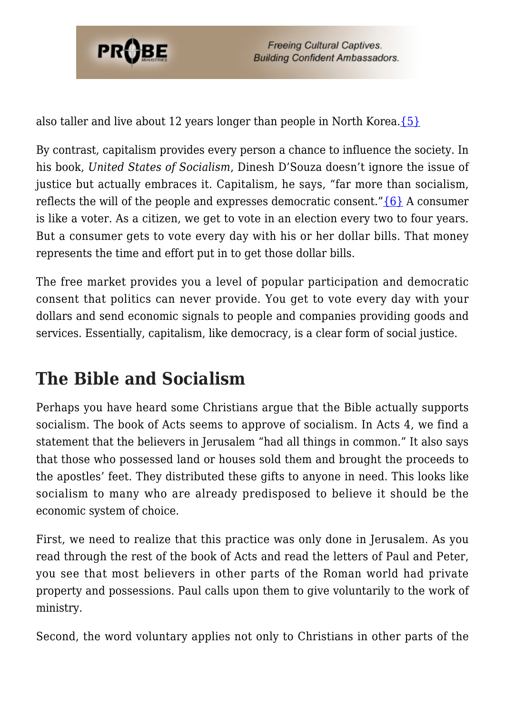

also taller and live about 12 years longer than people in North Korea. $\{5\}$ 

By contrast, capitalism provides every person a chance to influence the society. In his book, *United States of Socialism*, Dinesh D'Souza doesn't ignore the issue of justice but actually embraces it. Capitalism, he says, "far more than socialism, reflects the will of the people and expresses democratic consent." $\{6\}$  A consumer is like a voter. As a citizen, we get to vote in an election every two to four years. But a consumer gets to vote every day with his or her dollar bills. That money represents the time and effort put in to get those dollar bills.

The free market provides you a level of popular participation and democratic consent that politics can never provide. You get to vote every day with your dollars and send economic signals to people and companies providing goods and services. Essentially, capitalism, like democracy, is a clear form of social justice.

### **The Bible and Socialism**

Perhaps you have heard some Christians argue that the Bible actually supports socialism. The book of Acts seems to approve of socialism. In Acts 4, we find a statement that the believers in Jerusalem "had all things in common." It also says that those who possessed land or houses sold them and brought the proceeds to the apostles' feet. They distributed these gifts to anyone in need. This looks like socialism to many who are already predisposed to believe it should be the economic system of choice.

First, we need to realize that this practice was only done in Jerusalem. As you read through the rest of the book of Acts and read the letters of Paul and Peter, you see that most believers in other parts of the Roman world had private property and possessions. Paul calls upon them to give voluntarily to the work of ministry.

Second, the word voluntary applies not only to Christians in other parts of the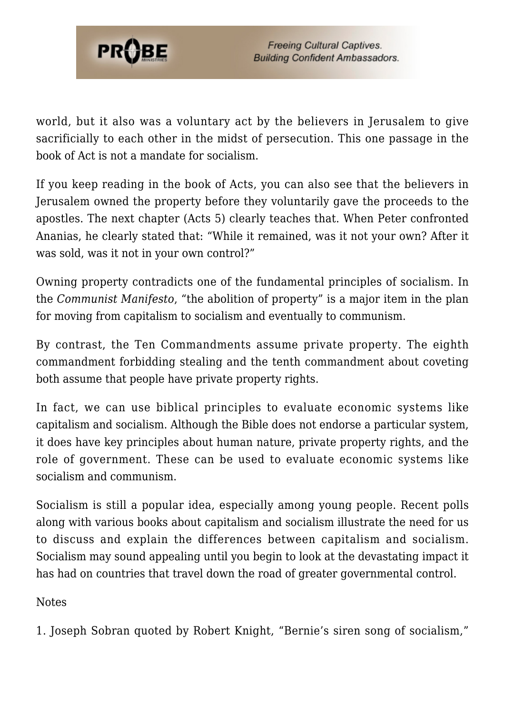

world, but it also was a voluntary act by the believers in Jerusalem to give sacrificially to each other in the midst of persecution. This one passage in the book of Act is not a mandate for socialism.

If you keep reading in the book of Acts, you can also see that the believers in Jerusalem owned the property before they voluntarily gave the proceeds to the apostles. The next chapter (Acts 5) clearly teaches that. When Peter confronted Ananias, he clearly stated that: "While it remained, was it not your own? After it was sold, was it not in your own control?"

Owning property contradicts one of the fundamental principles of socialism. In the *Communist Manifesto*, "the abolition of property" is a major item in the plan for moving from capitalism to socialism and eventually to communism.

By contrast, the Ten Commandments assume private property. The eighth commandment forbidding stealing and the tenth commandment about coveting both assume that people have private property rights.

In fact, we can use biblical principles to evaluate economic systems like capitalism and socialism. Although the Bible does not endorse a particular system, it does have key principles about human nature, private property rights, and the role of government. These can be used to evaluate economic systems like socialism and communism.

Socialism is still a popular idea, especially among young people. Recent polls along with various books about capitalism and socialism illustrate the need for us to discuss and explain the differences between capitalism and socialism. Socialism may sound appealing until you begin to look at the devastating impact it has had on countries that travel down the road of greater governmental control.

Notes

<span id="page-7-0"></span>1. Joseph Sobran quoted by Robert Knight, "Bernie's siren song of socialism,"